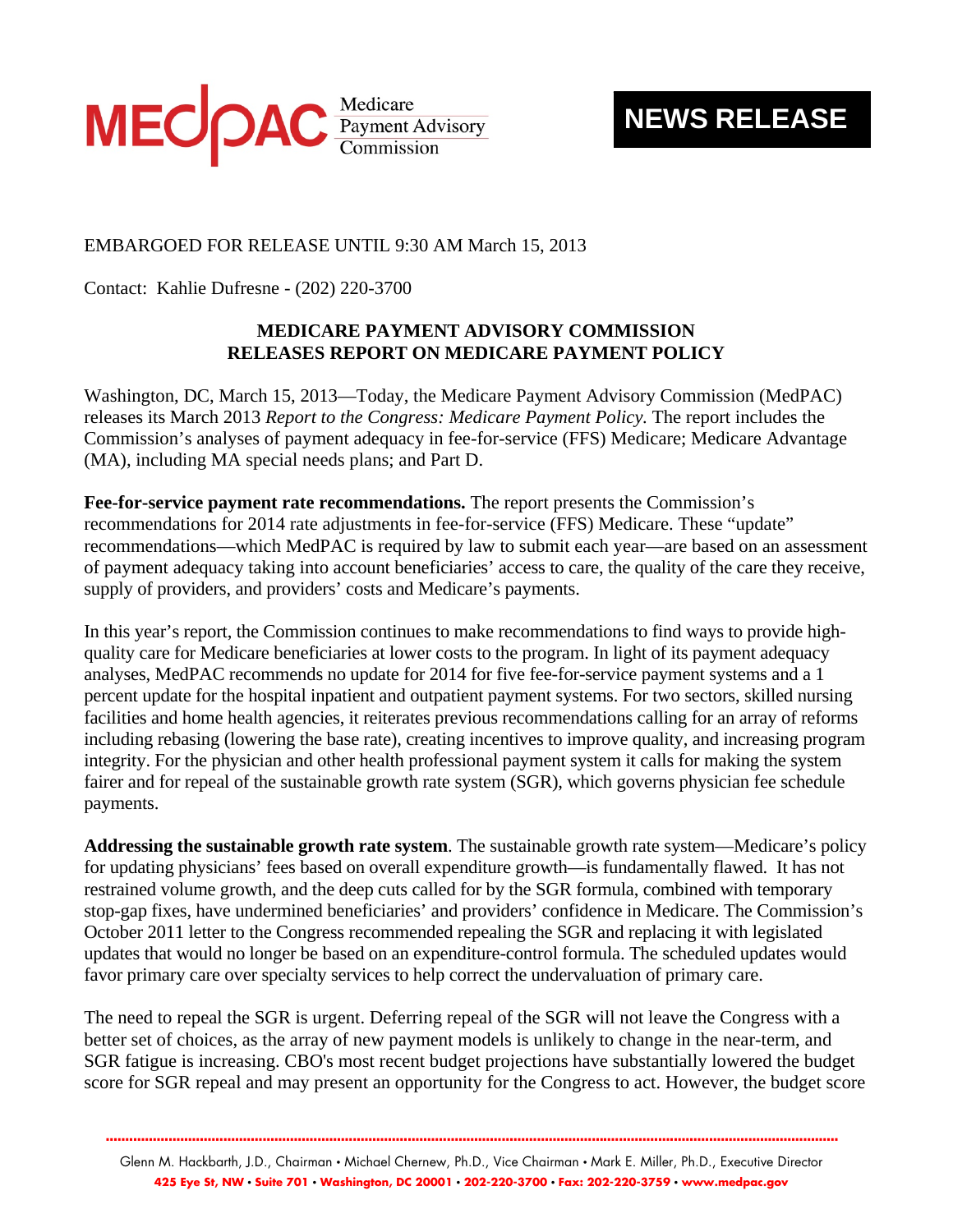

## **NEWS RELEASE**

## EMBARGOED FOR RELEASE UNTIL 9:30 AM March 15, 2013

Contact: Kahlie Dufresne - (202) 220-3700

## **MEDICARE PAYMENT ADVISORY COMMISSION RELEASES REPORT ON MEDICARE PAYMENT POLICY**

Washington, DC, March 15, 2013—Today, the Medicare Payment Advisory Commission (MedPAC) releases its March 2013 *Report to the Congress: Medicare Payment Policy.* The report includes the Commission's analyses of payment adequacy in fee-for-service (FFS) Medicare; Medicare Advantage (MA), including MA special needs plans; and Part D.

**Fee-for-service payment rate recommendations.** The report presents the Commission's recommendations for 2014 rate adjustments in fee-for-service (FFS) Medicare. These "update" recommendations—which MedPAC is required by law to submit each year—are based on an assessment of payment adequacy taking into account beneficiaries' access to care, the quality of the care they receive, supply of providers, and providers' costs and Medicare's payments.

In this year's report, the Commission continues to make recommendations to find ways to provide highquality care for Medicare beneficiaries at lower costs to the program. In light of its payment adequacy analyses, MedPAC recommends no update for 2014 for five fee-for-service payment systems and a 1 percent update for the hospital inpatient and outpatient payment systems. For two sectors, skilled nursing facilities and home health agencies, it reiterates previous recommendations calling for an array of reforms including rebasing (lowering the base rate), creating incentives to improve quality, and increasing program integrity. For the physician and other health professional payment system it calls for making the system fairer and for repeal of the sustainable growth rate system (SGR), which governs physician fee schedule payments.

**Addressing the sustainable growth rate system**. The sustainable growth rate system—Medicare's policy for updating physicians' fees based on overall expenditure growth—is fundamentally flawed. It has not restrained volume growth, and the deep cuts called for by the SGR formula, combined with temporary stop-gap fixes, have undermined beneficiaries' and providers' confidence in Medicare. The Commission's October 2011 letter to the Congress recommended repealing the SGR and replacing it with legislated updates that would no longer be based on an expenditure-control formula. The scheduled updates would favor primary care over specialty services to help correct the undervaluation of primary care.

The need to repeal the SGR is urgent. Deferring repeal of the SGR will not leave the Congress with a better set of choices, as the array of new payment models is unlikely to change in the near-term, and SGR fatigue is increasing. CBO's most recent budget projections have substantially lowered the budget score for SGR repeal and may present an opportunity for the Congress to act. However, the budget score

Glenn M. Hackbarth, J.D., Chairman • Michael Chernew, Ph.D., Vice Chairman • Mark E. Miller, Ph.D., Executive Director **425 Eye St, NW • Suite 701 • Washington, DC 20001 • 202-220-3700 • Fax: 202-220-3759 • www.medpac.gov** 

**...........................................................................................................................................................................................**